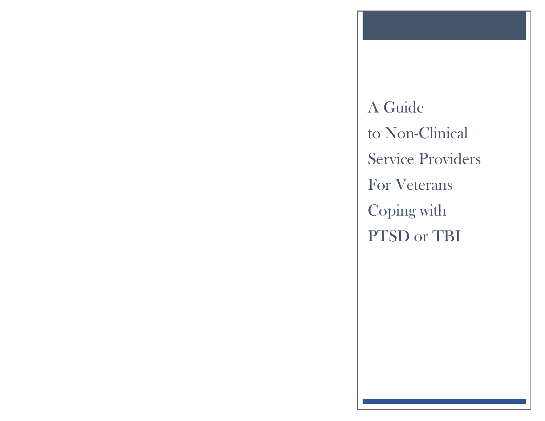A Guide to Non-Clinical Service Providers For Veterans Coping with PTSD or TBI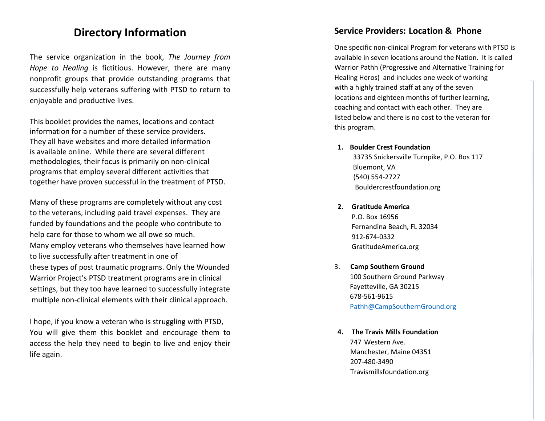# **Directory Information**

The service organization in the book, *The Journey from Hope to Healing* is fictitious. However, there are many nonprofit groups that provide outstanding programs that successfully help veterans suffering with PTSD to return to enjoyable and productive lives.

This booklet provides the names, locations and contact information for a number of these service providers. They all have websites and more detailed information is available online. While there are several different methodologies, their focus is primarily on non -clinical programs that employ several different activities that together have proven successful in the treatment of PTSD.

Many of these programs are completely without any cost to the veterans, including paid travel expenses. They are funded by foundations and the people who contribute to help care for those to whom we all owe so much. Many employ veterans who themselves have learned how to live successfully after treatment in one of these types of post traumatic programs. Only the Wounded Warrior Project's PTSD treatment programs are in clinical settings, but they too have learned to successfully integrate multiple non -clinical elements with their clinical approach.

I hope, if you know a veteran who is struggling with PTSD, You will give them this booklet and encourage them to access the help they need to begin to live and enjoy their life again.

## **Service Providers : Location & Phone**

One specific non -clinical Program for veterans with PTSD is available in seven locations around the Nation. It is called Warrior Pathh (Progressive and Alternative Training for Healing Heros) and includes one week of working with a highly trained staff at any of the seven locations and eighteen months of further learning, coaching and contact with each other. They are listed below and there is no cost to the veteran for this program.

**1. Boulder Crest Foundation**

33735 Snickersville Turnpike, P.O. Bos 117 Bluemont, VA (540) 554 -2727 Bouldercrestfoundation.org

- **2. Gratitude America** P.O. Box 16956 Fernandina Beach, FL 32034
	- 912 -674 -0332 GratitudeAmerica.org
- 3. **Camp Southern Ground** 100 Southern Ground Parkway Fayetteville, GA 30215 678 -561 -9615 [Pathh@CampSouthernGround.org](mailto:Pathh@CampSouthernGround.org)
- **4. The Travis Mills Foundation** 747 Western Ave. Manchester, Maine 04351 207 -480 -3490 Travismillsfoundation.org